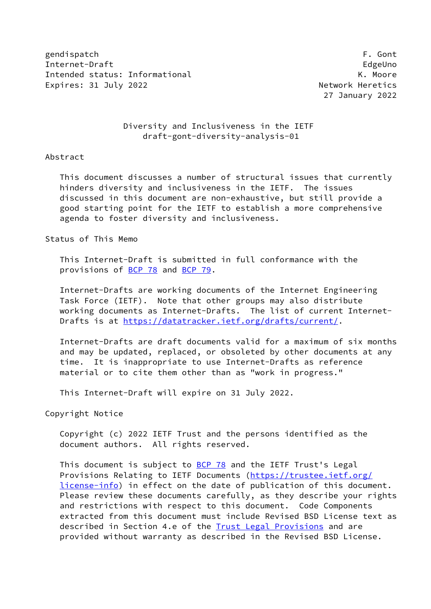gendispatch F. Gont Internet-Draft EdgeUno Intended status: Informational example of the status of the K. Moore Expires: 31 July 2022 **Network Heretics** 

27 January 2022

## Diversity and Inclusiveness in the IETF draft-gont-diversity-analysis-01

#### Abstract

 This document discusses a number of structural issues that currently hinders diversity and inclusiveness in the IETF. The issues discussed in this document are non-exhaustive, but still provide a good starting point for the IETF to establish a more comprehensive agenda to foster diversity and inclusiveness.

Status of This Memo

 This Internet-Draft is submitted in full conformance with the provisions of [BCP 78](https://datatracker.ietf.org/doc/pdf/bcp78) and [BCP 79](https://datatracker.ietf.org/doc/pdf/bcp79).

 Internet-Drafts are working documents of the Internet Engineering Task Force (IETF). Note that other groups may also distribute working documents as Internet-Drafts. The list of current Internet- Drafts is at<https://datatracker.ietf.org/drafts/current/>.

 Internet-Drafts are draft documents valid for a maximum of six months and may be updated, replaced, or obsoleted by other documents at any time. It is inappropriate to use Internet-Drafts as reference material or to cite them other than as "work in progress."

This Internet-Draft will expire on 31 July 2022.

Copyright Notice

 Copyright (c) 2022 IETF Trust and the persons identified as the document authors. All rights reserved.

This document is subject to [BCP 78](https://datatracker.ietf.org/doc/pdf/bcp78) and the IETF Trust's Legal Provisions Relating to IETF Documents ([https://trustee.ietf.org/](https://trustee.ietf.org/license-info) [license-info](https://trustee.ietf.org/license-info)) in effect on the date of publication of this document. Please review these documents carefully, as they describe your rights and restrictions with respect to this document. Code Components extracted from this document must include Revised BSD License text as described in Section 4.e of the **Trust Legal Provisions** and are provided without warranty as described in the Revised BSD License.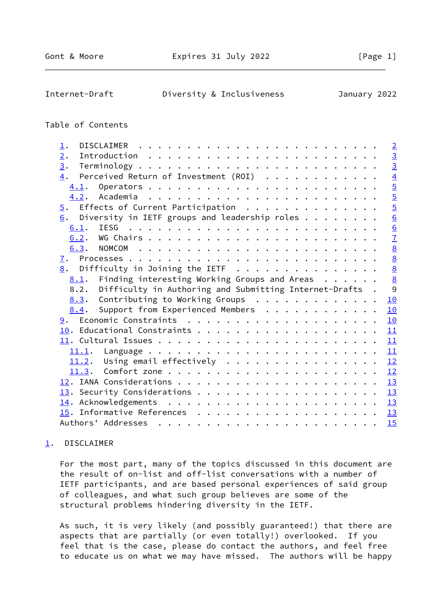#### <span id="page-1-1"></span>Internet-Draft Diversity & Inclusiveness January 2022

## Table of Contents

| 1.                                                              | $\overline{2}$  |
|-----------------------------------------------------------------|-----------------|
| $\overline{2}$ .                                                |                 |
| 3.                                                              | $\frac{3}{3}$   |
| Perceived Return of Investment (ROI)<br>4.                      | $\overline{4}$  |
| 4.1.                                                            | $\overline{5}$  |
|                                                                 | $\overline{5}$  |
| $\overline{5}$ . Effects of Current Participation               | $\frac{5}{6}$   |
| Diversity in IETF groups and leadership roles $\dots$<br>6.     |                 |
| 6.1.                                                            | $\overline{6}$  |
| 6.2.                                                            | $\overline{1}$  |
| 6.3.                                                            | $\underline{8}$ |
| <u>7</u> .                                                      | $\underline{8}$ |
| $\underline{8}$ . Difficulty in Joining the IETF                | $\frac{8}{8}$   |
| Finding interesting Working Groups and Areas $\dots$<br>8.1.    |                 |
| Difficulty in Authoring and Submitting Internet-Drafts.<br>8.2. | 9               |
| Contributing to Working Groups<br>8.3.                          | 10              |
| Support from Experienced Members<br>8.4.                        | 10              |
|                                                                 | 10              |
|                                                                 | 11              |
|                                                                 | 11              |
|                                                                 | 11              |
|                                                                 |                 |
|                                                                 | 12              |
|                                                                 | 12              |
|                                                                 |                 |
|                                                                 | 13              |
|                                                                 | 13              |
|                                                                 | 13              |
|                                                                 | 15              |

## <span id="page-1-0"></span>[1](#page-1-0). DISCLAIMER

 For the most part, many of the topics discussed in this document are the result of on-list and off-list conversations with a number of IETF participants, and are based personal experiences of said group of colleagues, and what such group believes are some of the structural problems hindering diversity in the IETF.

 As such, it is very likely (and possibly guaranteed!) that there are aspects that are partially (or even totally!) overlooked. If you feel that is the case, please do contact the authors, and feel free to educate us on what we may have missed. The authors will be happy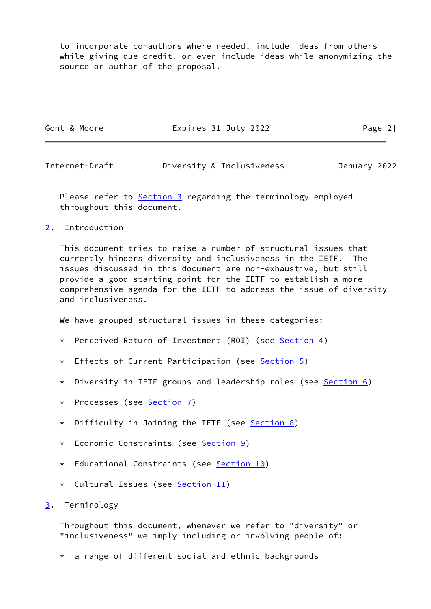to incorporate co-authors where needed, include ideas from others while giving due credit, or even include ideas while anonymizing the source or author of the proposal.

| Gont & Moore | Expires 31 July 2022 | [Page 2] |
|--------------|----------------------|----------|
|              |                      |          |

<span id="page-2-1"></span>Internet-Draft Diversity & Inclusiveness January 2022

Please refer to **Section 3** regarding the terminology employed throughout this document.

<span id="page-2-0"></span>[2](#page-2-0). Introduction

 This document tries to raise a number of structural issues that currently hinders diversity and inclusiveness in the IETF. The issues discussed in this document are non-exhaustive, but still provide a good starting point for the IETF to establish a more comprehensive agenda for the IETF to address the issue of diversity and inclusiveness.

We have grouped structural issues in these categories:

- \* Perceived Return of Investment (ROI) (see [Section 4](#page-3-0))
- \* Effects of Current Participation (see [Section 5](#page-5-2))
- \* Diversity in IETF groups and leadership roles (see [Section 6\)](#page-6-0)
- \* Processes (see [Section 7\)](#page-8-0)
- \* Difficulty in Joining the IETF (see **[Section 8\)](#page-8-1)**
- \* Economic Constraints (see [Section 9](#page-10-3))
- \* Educational Constraints (see [Section 10](#page-11-0))
- \* Cultural Issues (see [Section 11](#page-12-0))

<span id="page-2-2"></span>[3](#page-2-2). Terminology

 Throughout this document, whenever we refer to "diversity" or "inclusiveness" we imply including or involving people of:

\* a range of different social and ethnic backgrounds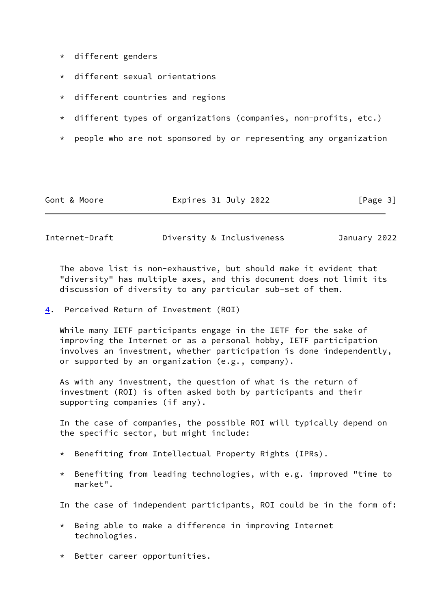- \* different genders
- \* different sexual orientations
- \* different countries and regions
- \* different types of organizations (companies, non-profits, etc.)
- \* people who are not sponsored by or representing any organization

| Expires 31 July 2022<br>Gont & Moore | [Page 3] |
|--------------------------------------|----------|
|--------------------------------------|----------|

<span id="page-3-1"></span>

| Internet-Draft<br>Diversity & Inclusiveness<br>January 2022 |  |
|-------------------------------------------------------------|--|
|-------------------------------------------------------------|--|

 The above list is non-exhaustive, but should make it evident that "diversity" has multiple axes, and this document does not limit its discussion of diversity to any particular sub-set of them.

<span id="page-3-0"></span>[4](#page-3-0). Perceived Return of Investment (ROI)

 While many IETF participants engage in the IETF for the sake of improving the Internet or as a personal hobby, IETF participation involves an investment, whether participation is done independently, or supported by an organization (e.g., company).

 As with any investment, the question of what is the return of investment (ROI) is often asked both by participants and their supporting companies (if any).

 In the case of companies, the possible ROI will typically depend on the specific sector, but might include:

- \* Benefiting from Intellectual Property Rights (IPRs).
- \* Benefiting from leading technologies, with e.g. improved "time to market".

In the case of independent participants, ROI could be in the form of:

- \* Being able to make a difference in improving Internet technologies.
- \* Better career opportunities.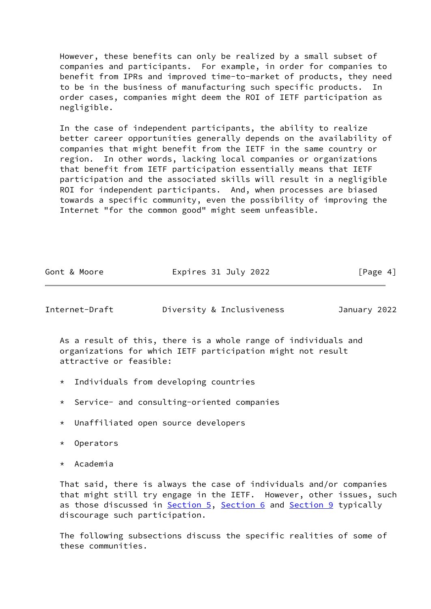However, these benefits can only be realized by a small subset of companies and participants. For example, in order for companies to benefit from IPRs and improved time-to-market of products, they need to be in the business of manufacturing such specific products. In order cases, companies might deem the ROI of IETF participation as negligible.

 In the case of independent participants, the ability to realize better career opportunities generally depends on the availability of companies that might benefit from the IETF in the same country or region. In other words, lacking local companies or organizations that benefit from IETF participation essentially means that IETF participation and the associated skills will result in a negligible ROI for independent participants. And, when processes are biased towards a specific community, even the possibility of improving the Internet "for the common good" might seem unfeasible.

<span id="page-4-0"></span>Internet-Draft Diversity & Inclusiveness January 2022

 As a result of this, there is a whole range of individuals and organizations for which IETF participation might not result attractive or feasible:

- \* Individuals from developing countries
- \* Service- and consulting-oriented companies
- \* Unaffiliated open source developers
- \* Operators
- \* Academia

 That said, there is always the case of individuals and/or companies that might still try engage in the IETF. However, other issues, such as those discussed in [Section 5,](#page-5-2) [Section 6](#page-6-0) and [Section 9](#page-10-3) typically discourage such participation.

 The following subsections discuss the specific realities of some of these communities.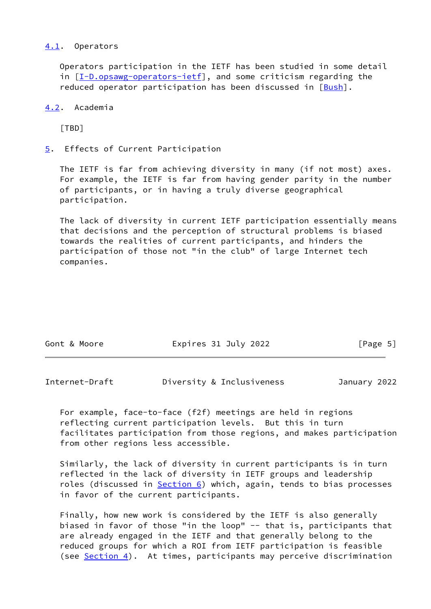#### <span id="page-5-0"></span>[4.1](#page-5-0). Operators

 Operators participation in the IETF has been studied in some detail in [[I-D.opsawg-operators-ietf\]](#page-15-1), and some criticism regarding the reduced operator participation has been discussed in  $[Bush]$  $[Bush]$ .

### <span id="page-5-1"></span>[4.2](#page-5-1). Academia

[TBD]

<span id="page-5-2"></span>[5](#page-5-2). Effects of Current Participation

 The IETF is far from achieving diversity in many (if not most) axes. For example, the IETF is far from having gender parity in the number of participants, or in having a truly diverse geographical participation.

 The lack of diversity in current IETF participation essentially means that decisions and the perception of structural problems is biased towards the realities of current participants, and hinders the participation of those not "in the club" of large Internet tech companies.

| Gont & Moore | Expires 31 July 2022 | [Page 5] |
|--------------|----------------------|----------|
|              |                      |          |

<span id="page-5-3"></span>

| Internet-Draft |  | Diversity & Inclusiveness | January 2022 |  |
|----------------|--|---------------------------|--------------|--|
|                |  |                           |              |  |

 For example, face-to-face (f2f) meetings are held in regions reflecting current participation levels. But this in turn facilitates participation from those regions, and makes participation from other regions less accessible.

 Similarly, the lack of diversity in current participants is in turn reflected in the lack of diversity in IETF groups and leadership roles (discussed in **[Section 6\)](#page-6-0)** which, again, tends to bias processes in favor of the current participants.

 Finally, how new work is considered by the IETF is also generally biased in favor of those "in the loop" -- that is, participants that are already engaged in the IETF and that generally belong to the reduced groups for which a ROI from IETF participation is feasible (see **Section 4**). At times, participants may perceive discrimination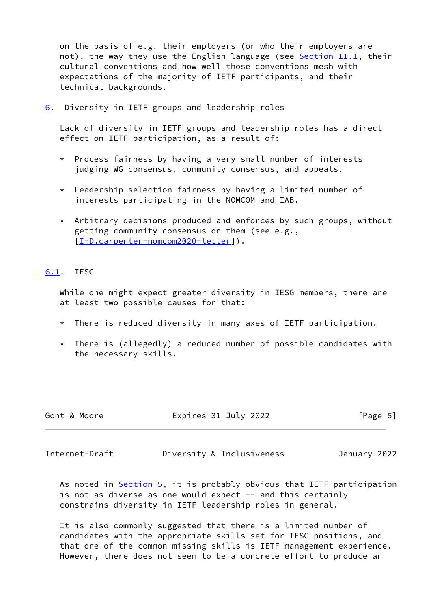on the basis of e.g. their employers (or who their employers are not), the way they use the English language (see [Section 11.1](#page-12-1), their cultural conventions and how well those conventions mesh with expectations of the majority of IETF participants, and their technical backgrounds.

<span id="page-6-0"></span>[6](#page-6-0). Diversity in IETF groups and leadership roles

 Lack of diversity in IETF groups and leadership roles has a direct effect on IETF participation, as a result of:

- \* Process fairness by having a very small number of interests judging WG consensus, community consensus, and appeals.
- \* Leadership selection fairness by having a limited number of interests participating in the NOMCOM and IAB.
- \* Arbitrary decisions produced and enforces by such groups, without getting community consensus on them (see e.g., [[I-D.carpenter-nomcom2020-letter\]](#page-14-2)).

# <span id="page-6-1"></span>[6.1](#page-6-1). IESG

 While one might expect greater diversity in IESG members, there are at least two possible causes for that:

- \* There is reduced diversity in many axes of IETF participation.
- $*$  There is (allegedly) a reduced number of possible candidates with the necessary skills.

| Gont & Moore | Expires 31 July 2022 | [Page 6] |
|--------------|----------------------|----------|
|              |                      |          |

<span id="page-6-2"></span>

Internet-Draft Diversity & Inclusiveness January 2022

As noted in [Section 5,](#page-5-2) it is probably obvious that IETF participation is not as diverse as one would expect -- and this certainly constrains diversity in IETF leadership roles in general.

 It is also commonly suggested that there is a limited number of candidates with the appropriate skills set for IESG positions, and that one of the common missing skills is IETF management experience. However, there does not seem to be a concrete effort to produce an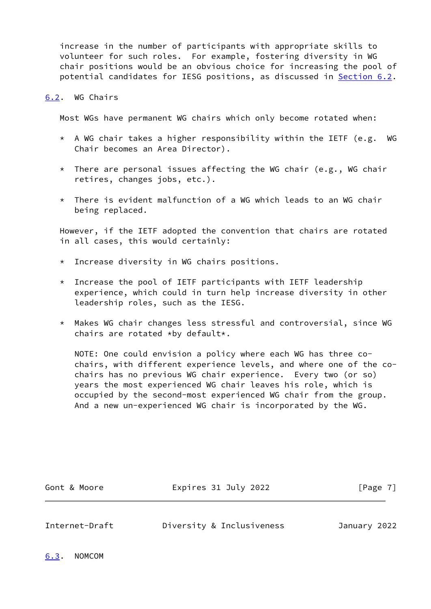increase in the number of participants with appropriate skills to volunteer for such roles. For example, fostering diversity in WG chair positions would be an obvious choice for increasing the pool of potential candidates for IESG positions, as discussed in [Section 6.2](#page-7-0).

#### <span id="page-7-0"></span>[6.2](#page-7-0). WG Chairs

Most WGs have permanent WG chairs which only become rotated when:

- $*$  A WG chair takes a higher responsibility within the IETF (e.g. WG Chair becomes an Area Director).
- \* There are personal issues affecting the WG chair (e.g., WG chair retires, changes jobs, etc.).
- $*$  There is evident malfunction of a WG which leads to an WG chair being replaced.

 However, if the IETF adopted the convention that chairs are rotated in all cases, this would certainly:

- \* Increase diversity in WG chairs positions.
- \* Increase the pool of IETF participants with IETF leadership experience, which could in turn help increase diversity in other leadership roles, such as the IESG.
- \* Makes WG chair changes less stressful and controversial, since WG chairs are rotated \*by default\*.

 NOTE: One could envision a policy where each WG has three co chairs, with different experience levels, and where one of the co chairs has no previous WG chair experience. Every two (or so) years the most experienced WG chair leaves his role, which is occupied by the second-most experienced WG chair from the group. And a new un-experienced WG chair is incorporated by the WG.

Gont & Moore **Expires 31 July 2022** [Page 7]

<span id="page-7-2"></span>Internet-Draft Diversity & Inclusiveness January 2022

<span id="page-7-1"></span>[6.3](#page-7-1). NOMCOM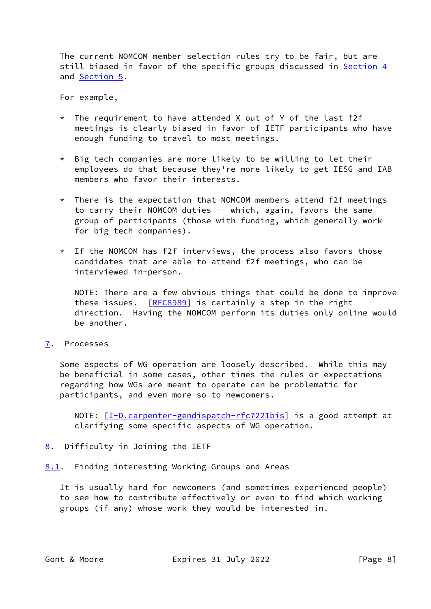The current NOMCOM member selection rules try to be fair, but are still biased in favor of the specific groups discussed in [Section 4](#page-3-0) and [Section 5.](#page-5-2)

For example,

- \* The requirement to have attended X out of Y of the last f2f meetings is clearly biased in favor of IETF participants who have enough funding to travel to most meetings.
- \* Big tech companies are more likely to be willing to let their employees do that because they're more likely to get IESG and IAB members who favor their interests.
- $*$  There is the expectation that NOMCOM members attend f2f meetings to carry their NOMCOM duties -- which, again, favors the same group of participants (those with funding, which generally work for big tech companies).
- \* If the NOMCOM has f2f interviews, the process also favors those candidates that are able to attend f2f meetings, who can be interviewed in-person.

 NOTE: There are a few obvious things that could be done to improve these issues. [[RFC8989](https://datatracker.ietf.org/doc/pdf/rfc8989)] is certainly a step in the right direction. Having the NOMCOM perform its duties only online would be another.

<span id="page-8-0"></span>[7](#page-8-0). Processes

 Some aspects of WG operation are loosely described. While this may be beneficial in some cases, other times the rules or expectations regarding how WGs are meant to operate can be problematic for participants, and even more so to newcomers.

NOTE: [\[I-D.carpenter-gendispatch-rfc7221bis](#page-14-3)] is a good attempt at clarifying some specific aspects of WG operation.

- <span id="page-8-1"></span>[8](#page-8-1). Difficulty in Joining the IETF
- <span id="page-8-2"></span>[8.1](#page-8-2). Finding interesting Working Groups and Areas

 It is usually hard for newcomers (and sometimes experienced people) to see how to contribute effectively or even to find which working groups (if any) whose work they would be interested in.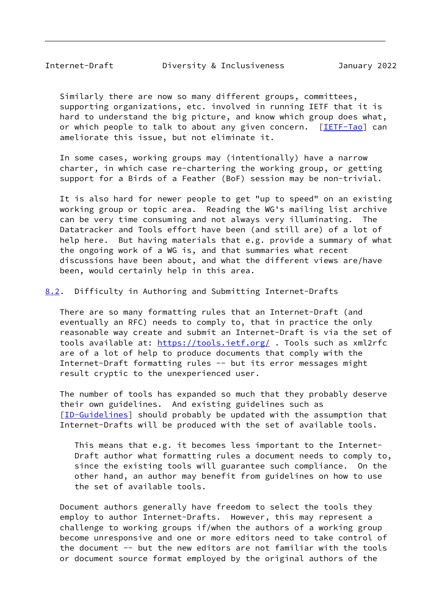Similarly there are now so many different groups, committees, supporting organizations, etc. involved in running IETF that it is hard to understand the big picture, and know which group does what, or which people to talk to about any given concern. [\[IETF-Tao](#page-15-2)] can ameliorate this issue, but not eliminate it.

 In some cases, working groups may (intentionally) have a narrow charter, in which case re-chartering the working group, or getting support for a Birds of a Feather (BoF) session may be non-trivial.

 It is also hard for newer people to get "up to speed" on an existing working group or topic area. Reading the WG's mailing list archive can be very time consuming and not always very illuminating. The Datatracker and Tools effort have been (and still are) of a lot of help here. But having materials that e.g. provide a summary of what the ongoing work of a WG is, and that summaries what recent discussions have been about, and what the different views are/have been, would certainly help in this area.

<span id="page-9-0"></span>[8.2](#page-9-0). Difficulty in Authoring and Submitting Internet-Drafts

 There are so many formatting rules that an Internet-Draft (and eventually an RFC) needs to comply to, that in practice the only reasonable way create and submit an Internet-Draft is via the set of tools available at: <https://tools.ietf.org/>. Tools such as xml2rfc are of a lot of help to produce documents that comply with the Internet-Draft formatting rules -- but its error messages might result cryptic to the unexperienced user.

 The number of tools has expanded so much that they probably deserve their own guidelines. And existing guidelines such as [\[ID-Guidelines](#page-15-3)] should probably be updated with the assumption that Internet-Drafts will be produced with the set of available tools.

 This means that e.g. it becomes less important to the Internet- Draft author what formatting rules a document needs to comply to, since the existing tools will guarantee such compliance. On the other hand, an author may benefit from guidelines on how to use the set of available tools.

 Document authors generally have freedom to select the tools they employ to author Internet-Drafts. However, this may represent a challenge to working groups if/when the authors of a working group become unresponsive and one or more editors need to take control of the document -- but the new editors are not familiar with the tools or document source format employed by the original authors of the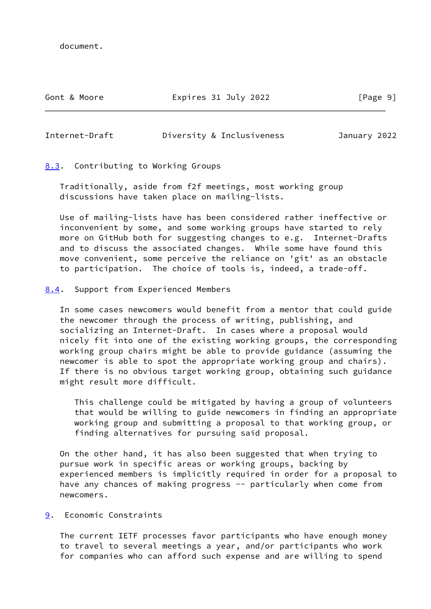document.

## Gont & Moore **Expires 31 July 2022** [Page 9]

<span id="page-10-1"></span>Internet-Draft Diversity & Inclusiveness January 2022

<span id="page-10-0"></span>[8.3](#page-10-0). Contributing to Working Groups

 Traditionally, aside from f2f meetings, most working group discussions have taken place on mailing-lists.

 Use of mailing-lists have has been considered rather ineffective or inconvenient by some, and some working groups have started to rely more on GitHub both for suggesting changes to e.g. Internet-Drafts and to discuss the associated changes. While some have found this move convenient, some perceive the reliance on 'git' as an obstacle to participation. The choice of tools is, indeed, a trade-off.

<span id="page-10-2"></span>[8.4](#page-10-2). Support from Experienced Members

 In some cases newcomers would benefit from a mentor that could guide the newcomer through the process of writing, publishing, and socializing an Internet-Draft. In cases where a proposal would nicely fit into one of the existing working groups, the corresponding working group chairs might be able to provide guidance (assuming the newcomer is able to spot the appropriate working group and chairs). If there is no obvious target working group, obtaining such guidance might result more difficult.

 This challenge could be mitigated by having a group of volunteers that would be willing to guide newcomers in finding an appropriate working group and submitting a proposal to that working group, or finding alternatives for pursuing said proposal.

 On the other hand, it has also been suggested that when trying to pursue work in specific areas or working groups, backing by experienced members is implicitly required in order for a proposal to have any chances of making progress -- particularly when come from newcomers.

<span id="page-10-3"></span>[9](#page-10-3). Economic Constraints

 The current IETF processes favor participants who have enough money to travel to several meetings a year, and/or participants who work for companies who can afford such expense and are willing to spend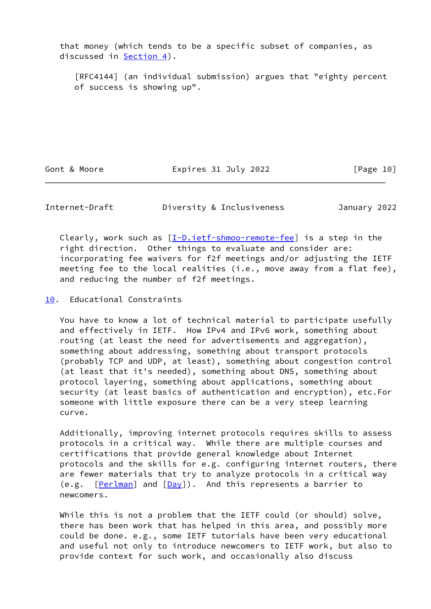that money (which tends to be a specific subset of companies, as discussed in **Section 4**).

 [RFC4144] (an individual submission) argues that "eighty percent of success is showing up".

Gont & Moore **Expires 31 July 2022** [Page 10]

<span id="page-11-1"></span>Internet-Draft Diversity & Inclusiveness January 2022

Clearly, work such as  $[\underline{I-D.ietf-Shmoo-remote-fee}]$  is a step in the right direction. Other things to evaluate and consider are: incorporating fee waivers for f2f meetings and/or adjusting the IETF meeting fee to the local realities (i.e., move away from a flat fee), and reducing the number of f2f meetings.

<span id="page-11-0"></span>[10.](#page-11-0) Educational Constraints

 You have to know a lot of technical material to participate usefully and effectively in IETF. How IPv4 and IPv6 work, something about routing (at least the need for advertisements and aggregation), something about addressing, something about transport protocols (probably TCP and UDP, at least), something about congestion control (at least that it's needed), something about DNS, something about protocol layering, something about applications, something about security (at least basics of authentication and encryption), etc.For someone with little exposure there can be a very steep learning curve.

 Additionally, improving internet protocols requires skills to assess protocols in a critical way. While there are multiple courses and certifications that provide general knowledge about Internet protocols and the skills for e.g. configuring internet routers, there are fewer materials that try to analyze protocols in a critical way (e.g.  $[Perlman]$  $[Perlman]$  and  $[Day]$  $[Day]$ ). And this represents a barrier to newcomers.

 While this is not a problem that the IETF could (or should) solve, there has been work that has helped in this area, and possibly more could be done. e.g., some IETF tutorials have been very educational and useful not only to introduce newcomers to IETF work, but also to provide context for such work, and occasionally also discuss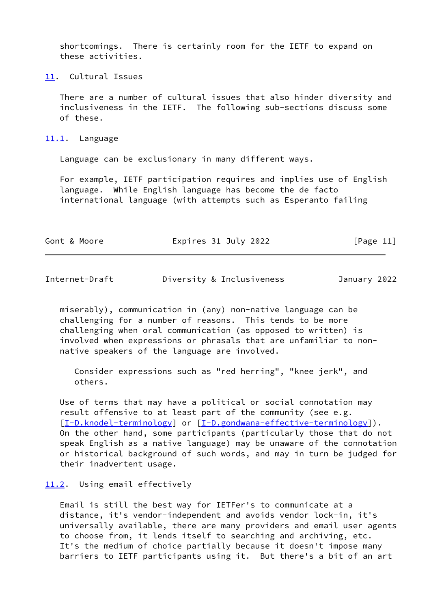shortcomings. There is certainly room for the IETF to expand on these activities.

<span id="page-12-0"></span>[11.](#page-12-0) Cultural Issues

 There are a number of cultural issues that also hinder diversity and inclusiveness in the IETF. The following sub-sections discuss some of these.

<span id="page-12-1"></span>[11.1](#page-12-1). Language

Language can be exclusionary in many different ways.

 For example, IETF participation requires and implies use of English language. While English language has become the de facto international language (with attempts such as Esperanto failing

| Gont & Moore | Expires 31 July 2022 | [Page 11] |
|--------------|----------------------|-----------|
|              |                      |           |

<span id="page-12-3"></span>

| Internet-Draft |  |
|----------------|--|
|----------------|--|

Diversity & Inclusiveness January 2022

 miserably), communication in (any) non-native language can be challenging for a number of reasons. This tends to be more challenging when oral communication (as opposed to written) is involved when expressions or phrasals that are unfamiliar to non native speakers of the language are involved.

 Consider expressions such as "red herring", "knee jerk", and others.

 Use of terms that may have a political or social connotation may result offensive to at least part of the community (see e.g. [\[I-D.knodel-terminology](#page-15-6)] or [\[I-D.gondwana-effective-terminology\]](#page-14-5)). On the other hand, some participants (particularly those that do not speak English as a native language) may be unaware of the connotation or historical background of such words, and may in turn be judged for their inadvertent usage.

#### <span id="page-12-2"></span>[11.2](#page-12-2). Using email effectively

 Email is still the best way for IETFer's to communicate at a distance, it's vendor-independent and avoids vendor lock-in, it's universally available, there are many providers and email user agents to choose from, it lends itself to searching and archiving, etc. It's the medium of choice partially because it doesn't impose many barriers to IETF participants using it. But there's a bit of an art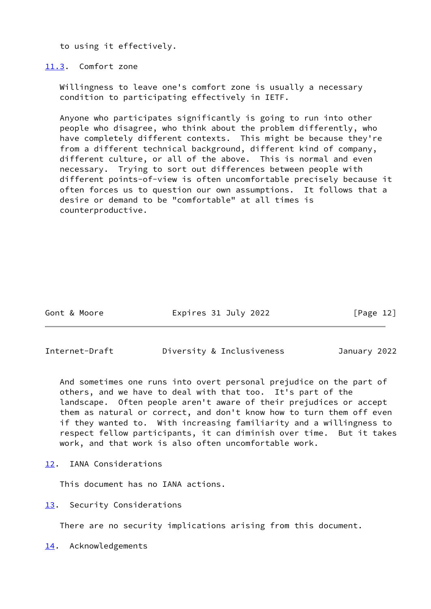to using it effectively.

<span id="page-13-0"></span>[11.3](#page-13-0). Comfort zone

 Willingness to leave one's comfort zone is usually a necessary condition to participating effectively in IETF.

 Anyone who participates significantly is going to run into other people who disagree, who think about the problem differently, who have completely different contexts. This might be because they're from a different technical background, different kind of company, different culture, or all of the above. This is normal and even necessary. Trying to sort out differences between people with different points-of-view is often uncomfortable precisely because it often forces us to question our own assumptions. It follows that a desire or demand to be "comfortable" at all times is counterproductive.

Gont & Moore **Expires 31 July 2022** [Page 12]

<span id="page-13-2"></span>Internet-Draft Diversity & Inclusiveness January 2022

 And sometimes one runs into overt personal prejudice on the part of others, and we have to deal with that too. It's part of the landscape. Often people aren't aware of their prejudices or accept them as natural or correct, and don't know how to turn them off even if they wanted to. With increasing familiarity and a willingness to respect fellow participants, it can diminish over time. But it takes work, and that work is also often uncomfortable work.

<span id="page-13-1"></span>[12.](#page-13-1) IANA Considerations

This document has no IANA actions.

<span id="page-13-3"></span>[13.](#page-13-3) Security Considerations

There are no security implications arising from this document.

<span id="page-13-4"></span>[14.](#page-13-4) Acknowledgements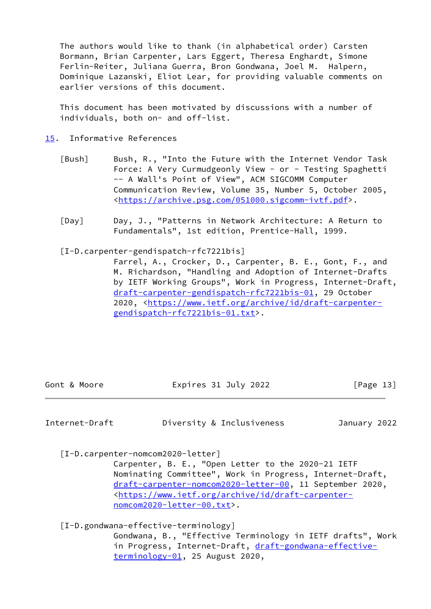The authors would like to thank (in alphabetical order) Carsten Bormann, Brian Carpenter, Lars Eggert, Theresa Enghardt, Simone Ferlin-Reiter, Juliana Guerra, Bron Gondwana, Joel M. Halpern, Dominique Lazanski, Eliot Lear, for providing valuable comments on earlier versions of this document.

 This document has been motivated by discussions with a number of individuals, both on- and off-list.

- <span id="page-14-1"></span><span id="page-14-0"></span>[15.](#page-14-0) Informative References
	- [Bush] Bush, R., "Into the Future with the Internet Vendor Task Force: A Very Curmudgeonly View - or - Testing Spaghetti -- A Wall's Point of View", ACM SIGCOMM Computer Communication Review, Volume 35, Number 5, October 2005, <[https://archive.psg.com/051000.sigcomm-ivtf.pdf>](https://archive.psg.com/051000.sigcomm-ivtf.pdf).
	- [Day] Day, J., "Patterns in Network Architecture: A Return to Fundamentals", 1st edition, Prentice-Hall, 1999.
	- [I-D.carpenter-gendispatch-rfc7221bis]

<span id="page-14-4"></span><span id="page-14-3"></span> Farrel, A., Crocker, D., Carpenter, B. E., Gont, F., and M. Richardson, "Handling and Adoption of Internet-Drafts by IETF Working Groups", Work in Progress, Internet-Draft, [draft-carpenter-gendispatch-rfc7221bis-01,](https://datatracker.ietf.org/doc/pdf/draft-carpenter-gendispatch-rfc7221bis-01) 29 October 2020, [<https://www.ietf.org/archive/id/draft-carpenter](https://www.ietf.org/archive/id/draft-carpenter-gendispatch-rfc7221bis-01.txt) [gendispatch-rfc7221bis-01.txt>](https://www.ietf.org/archive/id/draft-carpenter-gendispatch-rfc7221bis-01.txt).

| Gont & Moore | Expires 31 July 2022 | [Page 13] |  |
|--------------|----------------------|-----------|--|
|              |                      |           |  |

Internet-Draft Diversity & Inclusiveness January 2022

<span id="page-14-2"></span>[I-D.carpenter-nomcom2020-letter]

 Carpenter, B. E., "Open Letter to the 2020-21 IETF Nominating Committee", Work in Progress, Internet-Draft, [draft-carpenter-nomcom2020-letter-00,](https://datatracker.ietf.org/doc/pdf/draft-carpenter-nomcom2020-letter-00) 11 September 2020, <[https://www.ietf.org/archive/id/draft-carpenter](https://www.ietf.org/archive/id/draft-carpenter-nomcom2020-letter-00.txt) [nomcom2020-letter-00.txt>](https://www.ietf.org/archive/id/draft-carpenter-nomcom2020-letter-00.txt).

<span id="page-14-5"></span>[I-D.gondwana-effective-terminology]

 Gondwana, B., "Effective Terminology in IETF drafts", Work in Progress, Internet-Draft, [draft-gondwana-effective](https://datatracker.ietf.org/doc/pdf/draft-gondwana-effective-terminology-01)[terminology-01](https://datatracker.ietf.org/doc/pdf/draft-gondwana-effective-terminology-01), 25 August 2020,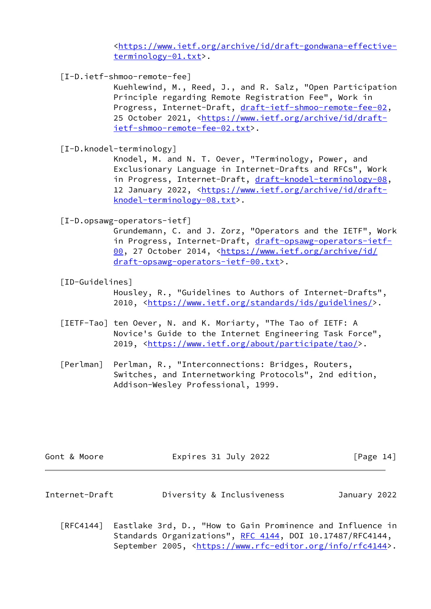<[https://www.ietf.org/archive/id/draft-gondwana-effective](https://www.ietf.org/archive/id/draft-gondwana-effective-terminology-01.txt) [terminology-01.txt>](https://www.ietf.org/archive/id/draft-gondwana-effective-terminology-01.txt).

<span id="page-15-4"></span>[I-D.ietf-shmoo-remote-fee]

 Kuehlewind, M., Reed, J., and R. Salz, "Open Participation Principle regarding Remote Registration Fee", Work in Progress, Internet-Draft, [draft-ietf-shmoo-remote-fee-02](https://datatracker.ietf.org/doc/pdf/draft-ietf-shmoo-remote-fee-02), 25 October 2021, [<https://www.ietf.org/archive/id/draft](https://www.ietf.org/archive/id/draft-ietf-shmoo-remote-fee-02.txt) [ietf-shmoo-remote-fee-02.txt>](https://www.ietf.org/archive/id/draft-ietf-shmoo-remote-fee-02.txt).

<span id="page-15-6"></span>[I-D.knodel-terminology]

 Knodel, M. and N. T. Oever, "Terminology, Power, and Exclusionary Language in Internet-Drafts and RFCs", Work in Progress, Internet-Draft, [draft-knodel-terminology-08](https://datatracker.ietf.org/doc/pdf/draft-knodel-terminology-08), 12 January 2022, [<https://www.ietf.org/archive/id/draft](https://www.ietf.org/archive/id/draft-knodel-terminology-08.txt) [knodel-terminology-08.txt>](https://www.ietf.org/archive/id/draft-knodel-terminology-08.txt).

<span id="page-15-1"></span>[I-D.opsawg-operators-ietf]

 Grundemann, C. and J. Zorz, "Operators and the IETF", Work in Progress, Internet-Draft, [draft-opsawg-operators-ietf-](https://datatracker.ietf.org/doc/pdf/draft-opsawg-operators-ietf-00) [00,](https://datatracker.ietf.org/doc/pdf/draft-opsawg-operators-ietf-00) 27 October 2014, [<https://www.ietf.org/archive/id/](https://www.ietf.org/archive/id/draft-opsawg-operators-ietf-00.txt) [draft-opsawg-operators-ietf-00.txt>](https://www.ietf.org/archive/id/draft-opsawg-operators-ietf-00.txt).

<span id="page-15-3"></span>[ID-Guidelines]

 Housley, R., "Guidelines to Authors of Internet-Drafts", 2010, [<https://www.ietf.org/standards/ids/guidelines/](https://www.ietf.org/standards/ids/guidelines/)>.

- <span id="page-15-2"></span> [IETF-Tao] ten Oever, N. and K. Moriarty, "The Tao of IETF: A Novice's Guide to the Internet Engineering Task Force", 2019, [<https://www.ietf.org/about/participate/tao/](https://www.ietf.org/about/participate/tao/)>.
- <span id="page-15-5"></span>[Perlman] Perlman, R., "Interconnections: Bridges, Routers, Switches, and Internetworking Protocols", 2nd edition, Addison-Wesley Professional, 1999.

<span id="page-15-0"></span>

| Gont & Moore   | Expires 31 July 2022      | [Page $14$ ] |
|----------------|---------------------------|--------------|
| Internet-Draft | Diversity & Inclusiveness | January 2022 |

 [RFC4144] Eastlake 3rd, D., "How to Gain Prominence and Influence in Standards Organizations", [RFC 4144](https://datatracker.ietf.org/doc/pdf/rfc4144), DOI 10.17487/RFC4144, September 2005, <[https://www.rfc-editor.org/info/rfc4144>](https://www.rfc-editor.org/info/rfc4144).